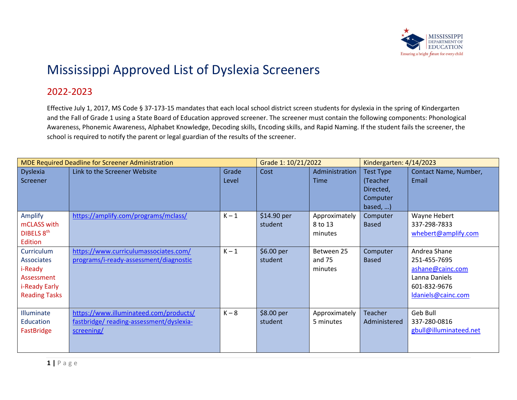

## Mississippi Approved List of Dyslexia Screeners

## 2022-2023

Effective July 1, 2017, MS Code § 37-173-15 mandates that each local school district screen students for dyslexia in the spring of Kindergarten and the Fall of Grade 1 using a State Board of Education approved screener. The screener must contain the following components: Phonological Awareness, Phonemic Awareness, Alphabet Knowledge, Decoding skills, Encoding skills, and Rapid Naming. If the student fails the screener, the school is required to notify the parent or legal guardian of the results of the screener.

| <b>MDE Required Deadline for Screener Administration</b>                                          |                                                                                                 |                | Grade 1: 10/21/2022    |                                     | Kindergarten: 4/14/2023                                            |                                                                                                         |
|---------------------------------------------------------------------------------------------------|-------------------------------------------------------------------------------------------------|----------------|------------------------|-------------------------------------|--------------------------------------------------------------------|---------------------------------------------------------------------------------------------------------|
| <b>Dyslexia</b><br>Screener                                                                       | Link to the Screener Website                                                                    | Grade<br>Level | Cost                   | Administration<br><b>Time</b>       | Test Type<br>(Teacher<br>Directed,<br>Computer<br>based, $\dots$ ) | Contact Name, Number,<br>Email                                                                          |
| <b>Amplify</b><br>mCLASS with<br>DIBELS 8th<br>Edition                                            | https://amplify.com/programs/mclass/                                                            | $K - 1$        | \$14.90 per<br>student | Approximately<br>8 to 13<br>minutes | Computer<br><b>Based</b>                                           | Wayne Hebert<br>337-298-7833<br>whebert@amplify.com                                                     |
| Curriculum<br><b>Associates</b><br>i-Ready<br>Assessment<br>i-Ready Early<br><b>Reading Tasks</b> | https://www.curriculumassociates.com/<br>programs/i-ready-assessment/diagnostic                 | $K - 1$        | \$6.00 per<br>student  | Between 25<br>and 75<br>minutes     | Computer<br><b>Based</b>                                           | Andrea Shane<br>251-455-7695<br>ashane@cainc.com<br>Lanna Daniels<br>601-832-9676<br>Idaniels@cainc.com |
| Illuminate<br>Education<br>FastBridge                                                             | https://www.illuminateed.com/products/<br>fastbridge/reading-assessment/dyslexia-<br>screening/ | $K - 8$        | \$8.00 per<br>student  | Approximately<br>5 minutes          | <b>Teacher</b><br>Administered                                     | Geb Bull<br>337-280-0816<br>gbull@illuminateed.net                                                      |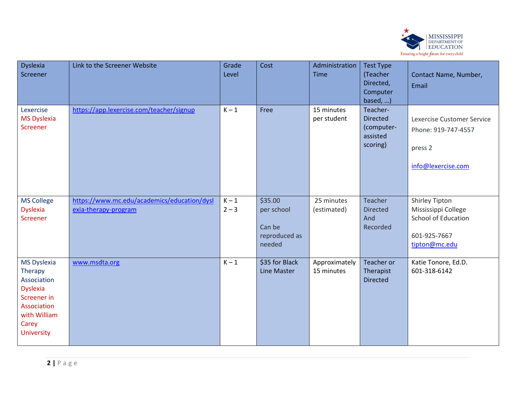

| Dyslexia<br>Screener                                                                                                          | Link to the Screener Website                                        | Grade<br>Level     | Cost                                                       | Administration<br><b>Time</b> | <b>Test Type</b><br>(Teacher<br>Directed,<br>Computer<br>based, ) | Contact Name, Number,<br>Email                                                                              |
|-------------------------------------------------------------------------------------------------------------------------------|---------------------------------------------------------------------|--------------------|------------------------------------------------------------|-------------------------------|-------------------------------------------------------------------|-------------------------------------------------------------------------------------------------------------|
| Lexercise<br><b>MS Dyslexia</b><br>Screener                                                                                   | https://app.lexercise.com/teacher/signup                            | $K - 1$            | Free                                                       | 15 minutes<br>per student     | Teacher-<br><b>Directed</b><br>(computer-<br>assisted<br>scoring) | Lexercise Customer Service<br>Phone: 919-747-4557<br>press 2<br>info@lexercise.com                          |
| <b>MS College</b><br><b>Dyslexia</b><br>Screener                                                                              | https://www.mc.edu/academics/education/dysl<br>exia-therapy-program | $K - 1$<br>$2 - 3$ | \$35.00<br>per school<br>Can be<br>reproduced as<br>needed | 25 minutes<br>(estimated)     | Teacher<br><b>Directed</b><br>And<br>Recorded                     | <b>Shirley Tipton</b><br>Mississippi College<br><b>School of Education</b><br>601-925-7667<br>tipton@mc.edu |
| MS Dyslexia<br>Therapy<br>Association<br><b>Dyslexia</b><br>Screener in<br>Association<br>with William<br>Carey<br>University | www.msdta.org                                                       | $K - 1$            | \$35 for Black<br>Line Master                              | Approximately<br>15 minutes   | Teacher or<br>Therapist<br><b>Directed</b>                        | Katie Tonore, Ed.D.<br>601-318-6142                                                                         |